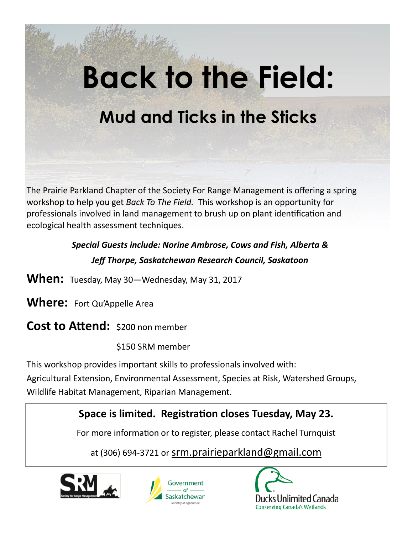# **Back to the Field: Mud and Ticks in the Sticks**

The Prairie Parkland Chapter of the Society For Range Management is offering a spring workshop to help you get *Back To The Field.* This workshop is an opportunity for professionals involved in land management to brush up on plant identification and ecological health assessment techniques.

## *Special Guests include: Norine Ambrose, Cows and Fish, Alberta & Jeff Thorpe, Saskatchewan Research Council, Saskatoon*

- **When:** Tuesday, May 30—Wednesday, May 31, 2017
- **Where:** Fort Qu'Appelle Area
- **Cost to Attend:** \$200 non member
	- \$150 SRM member
- This workshop provides important skills to professionals involved with:
- Agricultural Extension, Environmental Assessment, Species at Risk, Watershed Groups, Wildlife Habitat Management, Riparian Management.

## **Space is limited. Registration closes Tuesday, May 23.**

For more information or to register, please contact Rachel Turnquist

at (306) 694-3721 or srm.prairieparkland@gmail.com